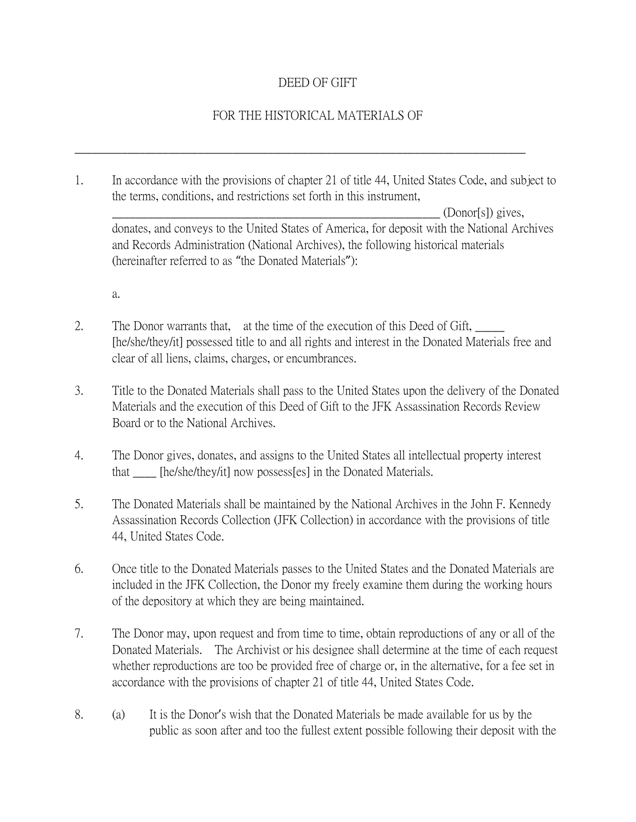## DEED OF GIFT

## FOR THE HISTORICAL MATERIALS OF

1. In accordance with the provisions of chapter 21 of title 44, United States Code, and subject to the terms, conditions, and restrictions set forth in this instrument,

\_\_\_\_\_\_\_\_\_\_\_\_\_\_\_\_\_\_\_\_\_\_\_\_\_\_\_\_\_\_\_\_\_\_\_\_\_\_\_\_\_\_\_\_\_\_\_\_\_\_\_\_\_\_\_\_\_\_\_\_\_\_\_\_\_\_\_\_\_\_\_\_\_\_\_\_\_

 $(Donor[s])$  gives, donates, and conveys to the United States of America, for deposit with the National Archives and Records Administration (National Archives), the following historical materials (hereinafter referred to as "the Donated Materials"):

a.

- 2. The Donor warrants that, at the time of the execution of this Deed of Gift, [he/she/they/it] possessed title to and all rights and interest in the Donated Materials free and clear of all liens, claims, charges, or encumbrances.
- 3. Title to the Donated Materials shall pass to the United States upon the delivery of the Donated Materials and the execution of this Deed of Gift to the JFK Assassination Records Review Board or to the National Archives.
- 4. The Donor gives, donates, and assigns to the United States all intellectual property interest that \_\_\_\_ [he/she/they/it] now possess[es] in the Donated Materials.
- 5. The Donated Materials shall be maintained by the National Archives in the John F. Kennedy Assassination Records Collection (JFK Collection) in accordance with the provisions of title 44, United States Code.
- 6. Once title to the Donated Materials passes to the United States and the Donated Materials are included in the JFK Collection, the Donor my freely examine them during the working hours of the depository at which they are being maintained.
- 7. The Donor may, upon request and from time to time, obtain reproductions of any or all of the Donated Materials. The Archivist or his designee shall determine at the time of each request whether reproductions are too be provided free of charge or, in the alternative, for a fee set in accordance with the provisions of chapter 21 of title 44, United States Code.
- 8. (a) It is the Donor's wish that the Donated Materials be made available for us by the public as soon after and too the fullest extent possible following their deposit with the